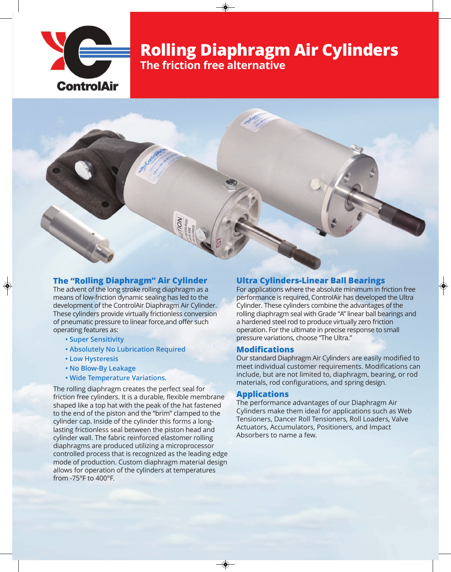

# **Rolling Diaphragm Air Cylinders The friction free alternative**

### **The "Rolling Diaphragm" Air Cylinder**

The advent of the long stroke rolling diaphragm as a means of low-friction dynamic sealing has led to the development of the ControlAir Diaphragm Air Cylinder. These cylinders provide virtually frictionless conversion of pneumatic pressure to linear force,and offer such operating features as:

- **Super Sensitivity**
- **Absolutely No Lubrication Required**
- **Low Hysteresis**
- **No Blow-By Leakage**
- **Wide Temperature Variations**.

The rolling diaphragm creates the perfect seal for friction free cylinders. It is a durable, flexible membrane shaped like a top hat with the peak of the hat fastened to the end of the piston and the "brim" clamped to the cylinder cap. Inside of the cylinder this forms a longlasting frictionless seal between the piston head and cylinder wall. The fabric reinforced elastomer rolling diaphragms are produced utilizing a microprocessor controlled process that is recognized as the leading edge mode of production. Custom diaphragm material design allows for operation of the cylinders at temperatures from -75°F to 400°F.

#### **Ultra Cylinders-Linear Ball Bearings**

For applications where the absolute minimum in friction free performance is required, ControlAir has developed the Ultra Cylinder. These cylinders combine the advantages of the rolling diaphragm seal with Grade "A" linear ball bearings and a hardened steel rod to produce virtually zero friction operation. For the ultimate in precise response to small pressure variations, choose "The Ultra."

#### **Modifications**

Our standard Diaphragm Air Cylinders are easily modified to meet individual customer requirements. Modifications can include, but are not limited to, diaphragm, bearing, or rod materials, rod configurations, and spring design.

#### **Applications**

The performance advantages of our Diaphragm Air Cylinders make them ideal for applications such as Web Tensioners, Dancer Roll Tensioners, Roll Loaders, Valve Actuators, Accumulators, Positioners, and Impact Absorbers to name a few.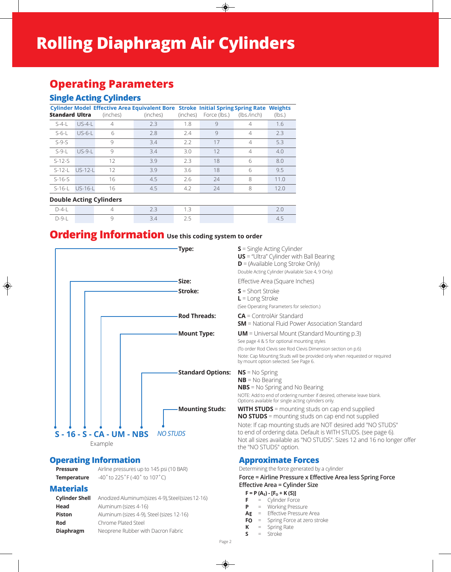# **Operating Parameters**

### **Single Acting Cylinders**

| <b>Standard Ultra</b> |                | (inches) | Cylinder Model Effective Area Equivalent Bore Stroke Initial Spring Spring Rate Weights<br>(inches) | (inches) | Force (lbs.) | (lbs./inch)    | (lbs.) |
|-----------------------|----------------|----------|-----------------------------------------------------------------------------------------------------|----------|--------------|----------------|--------|
| $S-4-$                | $US-4-1$       |          | 2.3                                                                                                 | 1.8      | 9            |                | 1.6    |
| $S-6-L$               | $US-6-1$       | 6        | 2.8                                                                                                 | 7.4      | 9            |                | 2.3    |
| $S-9-S$               |                | 9        | 3.4                                                                                                 | 2.2      | 17           | $\overline{4}$ | 5.3    |
| $S-9-1$               | $US-9-1$       | 9        | 3.4                                                                                                 | 3.0      | 12           |                | 4.0    |
| $S-12-S$              |                | 12       | 3.9                                                                                                 | 2.3      | 18           | 6              | 8.0    |
| $S-12-1$              | $115 - 12 - 1$ | 12       | 3.9                                                                                                 | 3.6      | 18           | 6              | 9.5    |
| $S-16-S$              |                | 16       | 4.5                                                                                                 | 2.6      | 24           | 8              | 11.0   |
| $S-16-1$              | $115 - 16 - 1$ | 16       | 4.5                                                                                                 | 4.2      | 24           | 8              | 12.0   |

#### **Double Acting Cylinders**

|  |  | . . |  |
|--|--|-----|--|
|  |  |     |  |

### **Ordering Information** Use this coding system to order



### **Approximate Forces**

Determining the force generated by a cylinder

**Force = Airline Pressure x Effective Area less Spring Force Effective Area = Cylinder Size**

- **F** = Cylinder Force
- **P** = Working Pressure
- **AE** = Effective Pressure Area
- **FO** = Spring Force at zero stroke
- **K** = Spring Rate
- **S** = Stroke

**Materials** 

**Operating Information** 

|                  | <b>Cylinder Shell</b> Anodized Aluminum (sizes 4-9), Steel (sizes 12-16) |
|------------------|--------------------------------------------------------------------------|
| Head             | Aluminum (sizes 4-16)                                                    |
| Piston           | Aluminum (sizes 4-9), Steel (sizes 12-16)                                |
| Rod              | Chrome Plated Steel                                                      |
| <b>Diaphragm</b> | Neoprene Rubber with Dacron Fabric                                       |

**Pressure** Airline pressures up to 145 psi (10 BAR) **Temperature** -40˚ to 225˚F (-40˚ to 107˚C)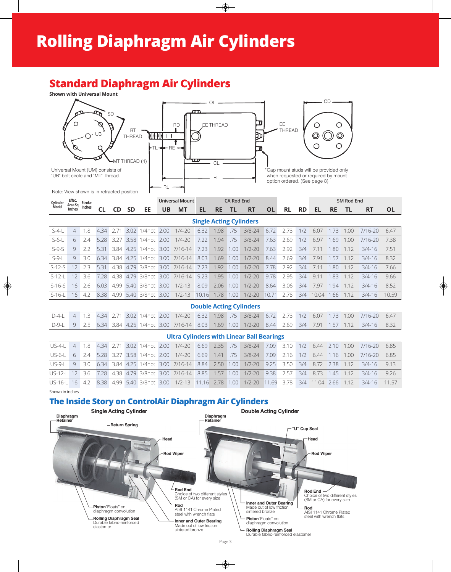### **Standard Diaphragm Air Cylinders**



|         |  |  |  |  |  |  |  |  |  | 1.7 U.U וד.ט וואס דיין וואס דיין וואס דיין בין היין דיין וואס דיין וואס דיין די דיין די דיין די דיין די דיין ד     |  |
|---------|--|--|--|--|--|--|--|--|--|--------------------------------------------------------------------------------------------------------------------|--|
| $S-6-L$ |  |  |  |  |  |  |  |  |  | 6 2.4 5.28 3.27 3.58 1/4npt 2.00 1/4-20 7.22 1.94 .75 3/8-24 7.63 2.69 1/2 6.97 1.69 1.00 7/16-20 7.38             |  |
|         |  |  |  |  |  |  |  |  |  | S-9-S 9 2.2 5.31 3.84 4.25 1/4npt 3.00 7/16-14 7.23 1.92 1.00 1/2-20 7.63 2.92 3/4 7.11 1.80 1.12 3/4-16 7.51      |  |
|         |  |  |  |  |  |  |  |  |  | S-9-L 9 3.0 6.34 3.84 4.25 1/4npt 3.00 7/16-14 8.03 1.69 1.00 1/2-20 8.44 2.69 3/4 7.91 1.57 1.12 3/4-16 8.32      |  |
|         |  |  |  |  |  |  |  |  |  | S-12-S 12 2.3 5.31 4.38 4.79 3/8npt 3.00 7/16-14 7.23 1.92 1.00 1/2-20 7.78 2.92 3/4 7.11 1.80 1.12 3/4-16 7.66    |  |
|         |  |  |  |  |  |  |  |  |  | S-12-L 12 3.6 7.28 4.38 4.79 3/8npt 3.00 7/16-14 9.23 1.95 1.00 1/2-20 9.78 2.95 3/4 9.11 1.83 1.12 3/4-16 9.66    |  |
|         |  |  |  |  |  |  |  |  |  | S-16-S 16 2.6 6.03 4.99 5.40 3/8npt 3.00 1/2-13 8.09 2.06 1.00 1/2-20 8.64 3.06 3/4 7.97 1.94 1.12 3/4-16 8.52     |  |
|         |  |  |  |  |  |  |  |  |  | S-16-L 16 4.2 8.38 4.99 5.40 3/8npt 3.00 1/2-13 10.16 1.78 1.00 1/2-20 10.71 2.78 3/4 10.04 1.66 1.12 3/4-16 10.59 |  |

#### **Double Acting Cylinders**

|  |  |  |  |  |  |  |  |  | D-4-L 4 1.3 4.34 2.71 3.02 1/4npt 2.00 1/4-20 6.32 1.98 .75 3/8-24 6.72 2.73 1/2 6.07 1.73 1.00 7/16-20 6.47  |  |
|--|--|--|--|--|--|--|--|--|---------------------------------------------------------------------------------------------------------------|--|
|  |  |  |  |  |  |  |  |  | D-9-L 9 2.5 6.34 3.84 4.25 1/4npt 3.00 7/16-14 8.03 1.69 1.00 1/2-20 8.44 2.69 3/4 7.91 1.57 1.12 3/4-16 8.32 |  |

#### **Ultra Cylinders with Linear Ball Bearings**

|  |  |  |  |  |  |  |  |  | US-4-L 4 1.8 4.34 2.71 3.02 1/4npt 2.00 1/4-20 6.69 2.35 .75 3/8-24 7.09 3.10 1/2 6.44 2.10 1.00 7/16-20 6.85       |  |
|--|--|--|--|--|--|--|--|--|---------------------------------------------------------------------------------------------------------------------|--|
|  |  |  |  |  |  |  |  |  | US-6-L 6 2.4 5.28 3.27 3.58 1/4npt 2.00 1/4-20 6.69 1.41 75 3/8-24 7.09 2.16 1/2 6.44 1.16 1.00 7/16-20 6.85        |  |
|  |  |  |  |  |  |  |  |  | US-9-L 9 3.0 6.34 3.84 4.25 1/4npt 3.00 7/16-14 8.84 2.50 1.00 1/2-20 9.25 3.50 3/4 8.72 2.38 1.12 3/4-16 9.13      |  |
|  |  |  |  |  |  |  |  |  | US-12-L 12 3.6 7.28 4.38 4.79 3/8npt 3.00 7/16-14 8.85 1.57 1.00 1/2-20 9.38 2.57 3/4 8.73 1.45 1.12 3/4-16 9.26    |  |
|  |  |  |  |  |  |  |  |  | US-16-L 16 4.2 8.38 4.99 5.40 3/8npt 3.00 1/2-13 11.16 2.78 1.00 1/2-20 11.69 3.78 3/4 11.04 2.66 1.12 3/4-16 11.57 |  |

Shown in inches

### **The Inside Story on ControlAir Diaphragm Air Cylinders**

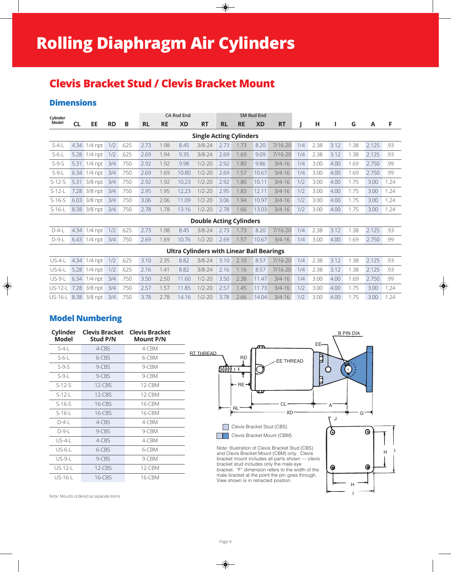# **Clevis Bracket Stud / Clevis Bracket Mount**

### **Dimensions**

| Cylinder |           |              |           |      | <b>CA Rod End</b><br><b>SM Rod End</b> |           |           |                                                  |           |           |           |            |     |      |      |      |       |      |
|----------|-----------|--------------|-----------|------|----------------------------------------|-----------|-----------|--------------------------------------------------|-----------|-----------|-----------|------------|-----|------|------|------|-------|------|
| Model    | <b>CL</b> | EE           | <b>RD</b> | B    | <b>RL</b>                              | <b>RE</b> | <b>XD</b> | <b>RT</b>                                        | <b>RL</b> | <b>RE</b> | <b>XD</b> | <b>RT</b>  |     | н    | L    | G    | A     | F    |
|          |           |              |           |      |                                        |           |           | <b>Single Acting Cylinders</b>                   |           |           |           |            |     |      |      |      |       |      |
| $S-4-L$  | 4.34      | $1/4$ npt    | 1/2       | .625 | 2.73                                   | 1.98      | 8.45      | $3/8 - 24$                                       | 2.73      | 1.73      | 8.20      | 7/16-20    | 1/4 | 2.38 | 3.12 | 1.38 | 2.125 | .93  |
| $S-6-L$  | 5.28      | $1/4$ npt    | 1/2       | .625 | 2.69                                   | 1.94      | 9.35      | $3/8 - 24$                                       | 2.69      | 1.69      | 9.09      | 7/16-20    | 1/4 | 2.38 | 3.12 | 1.38 | 2.125 | .93  |
| $S-9-S$  | 5.31      | $1/4$ npt    | 3/4       | .750 | 2.92                                   | 1.92      | 9.98      | $1/2 - 20$                                       | 2.92      | 1.80      | 9.86      | $3/4 - 16$ | 1/4 | 3.00 | 4.00 | 1.69 | 2.750 | .99  |
| $S-9-L$  | 6.34      | $1/4$ npt    | 3/4       | .750 | 2.69                                   | 1.69      | 10.80     | $1/2 - 20$                                       | 2.69      | 1.57      | 10.67     | $3/4 - 16$ | 1/4 | 3.00 | 4.00 | 1.69 | 2.750 | .99  |
| $S-12-S$ | 5.31      | $3/8$ npt    | 3/4       | .750 | 2.92                                   | 1.92      | 10.23     | $1/2 - 20$                                       | 2.92      | 1.80      | 10.11     | $3/4 - 16$ | 1/2 | 3.00 | 4.00 | 1.75 | 3.00  | 1.24 |
| $S-12-L$ | 7.28      | $3/8$ npt    | 3/4       | .750 | 2.95                                   | 1.95      | 12.23     | $1/2 - 20$                                       | 2.95      | 1.83      | 12.11     | $3/4 - 16$ | 1/2 | 3.00 | 4.00 | 1.75 | 3.00  | 1.24 |
| $S-16-S$ | 6.03      | $3/8$ npt    | 3/4       | .750 | 3.06                                   | 2.06      | 11.09     | $1/2 - 20$                                       | 3.06      | 1.94      | 10.97     | $3/4 - 16$ | 1/2 | 3.00 | 4.00 | 1.75 | 3.00  | 1.24 |
| $S-16-L$ | 8.38      | 3/8 npt      | 3/4       | .750 | 2.78                                   | 1.78      | 13.16     | $1/2 - 20$                                       | 2.78      | 1.66      | 13.03     | $3/4 - 16$ | 1/2 | 3.00 | 4.00 | 1.75 | 3.00  | 1.24 |
|          |           |              |           |      |                                        |           |           | <b>Double Acting Cylinders</b>                   |           |           |           |            |     |      |      |      |       |      |
| $D-4-L$  | 4.34      | $1/4$ npt    | 1/2       | .625 | 2.73                                   | 1.98      | 8.45      | $3/8 - 24$                                       | 2.73      | 1.73      | 8.20      | 7/16-20    | 1/4 | 2.38 | 3.12 | 1.38 | 2.125 | .93  |
| $D-9-L$  | 6.43      | $1/4$ npt    | 3/4       | .750 | 2.69                                   | 1.69      | 10.76     | $1/2 - 20$                                       | 2.69      | 1.57      | 10.67     | $3/4 - 16$ | 1/4 | 3.00 | 4.00 | 1.69 | 2.750 | .99  |
|          |           |              |           |      |                                        |           |           | <b>Ultra Cylinders with Linear Ball Bearings</b> |           |           |           |            |     |      |      |      |       |      |
| $US-4-L$ | 4.34      | $1/4$ npt    | 1/2       | .625 | 3.10                                   | 2.35      | 8.82      | $3/8 - 24$                                       | 3.10      | 2.10      | 8.57      | 7/16-20    | 1/4 | 2.38 | 3.12 | 1.38 | 2.125 | .93  |
| $US-6-L$ | 5.28      | $1/4$ npt    | 1/2       | .625 | 2.16                                   | 1.41      | 8.82      | $3/8 - 24$                                       | 2.16      | 1.16      | 8.57      | 7/16-20    | 1/4 | 2.38 | 3.12 | 1.38 | 2.125 | .93  |
| $US-9-L$ |           | 6.34 1/4 npt | 3/4       | .750 | 3.50                                   | 2.50      | 11.60     | $1/2 - 20$                                       | 3.50      | 2.38      | 11.47     | $3/4 - 16$ | 1/4 | 3.00 | 4.00 | 1.69 | 2.750 | .99  |

US-12-L 7.28 3/8 npt 3/4 .750 2.57 1.57 11.85 1/2-20 2.57 1.45 11.73 3/4-16 1/2 3.00 4.00 1.75 3.00 1.24 US-16-L 8.38 3/8 npt 3/4 .750 3.78 2.78 14.16 1/2-20 3.78 2.66 14.04 3/4-16 1/2 3.00 4.00 1.75 3.00 1.24

**Model Numbering**

| <b>Model</b>   | Cylinder Clevis Bracket Clevis Bracket<br><b>Stud P/N</b> | <b>Mount P/N</b> |
|----------------|-----------------------------------------------------------|------------------|
| $S-4-$         | $4-CBS$                                                   | 4-CBM            |
| $S-6-L$        | 6-CBS                                                     | 6-CBM            |
| $S-9-S$        | 9-CBS                                                     | 9-CBM            |
| $S-9-L$        | 9-CBS                                                     | 9-CBM            |
| $S-12-S$       | $12-CBS$                                                  | 12-CBM           |
| $S-12-$        | $12$ -CBS                                                 | $12$ -CBM        |
| $S-16-S$       | $16$ -CBS                                                 | 16-CBM           |
| $S-16-L$       | $16$ -CBS                                                 | 16-CBM           |
| $D-4-1$        | $4-CBS$                                                   | $4$ -CBM         |
| $D-9-1$        | 9-CBS                                                     | 9-CBM            |
| US-4-L         | 4-CBS                                                     | $4$ -CBM         |
| $US-6-L$       | 6-CBS                                                     | 6-CBM            |
| $US-9-L$       | 9-CBS                                                     | 9-CBM            |
| $US-12-$       | $12$ -CBS                                                 | 12-CBM           |
| <b>US-16-L</b> | $16$ -CBS                                                 | 16-CBM           |



I

Note: Mounts ordered as separate items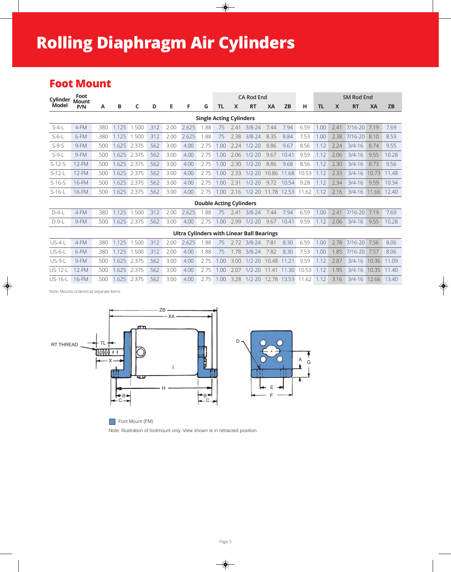# **Rolling Diaphragm Air Cylinders**

### **Foot Mount**

| Cylinder | Foot<br>Mount                                                                                               |      |             |       |      |      |       |                                |      |      | <b>CA Rod End</b>                                |       |           |       |      |      | <b>SM Rod End</b> |           |           |
|----------|-------------------------------------------------------------------------------------------------------------|------|-------------|-------|------|------|-------|--------------------------------|------|------|--------------------------------------------------|-------|-----------|-------|------|------|-------------------|-----------|-----------|
| Model    | P/N                                                                                                         | Α    | В           | C     | D    | Е    | F     | G                              | TL   | X    | <b>RT</b>                                        | XA    | <b>ZB</b> | н     | ΤL   | X    | <b>RT</b>         | <b>XA</b> | <b>ZB</b> |
|          |                                                                                                             |      |             |       |      |      |       | <b>Single Acting Cylinders</b> |      |      |                                                  |       |           |       |      |      |                   |           |           |
| $S-4-L$  | 4-FM<br>1.125<br>1.500<br>.312<br>2.625<br>$3/8 - 24$<br>7.94<br>.380<br>2.00<br>.88<br>7.44<br>.75<br>7.41 |      |             |       |      |      |       |                                |      |      |                                                  |       |           |       | 1.00 | 2.41 | 7/16-20           | 7.19      | 7.69      |
| $S-6-L$  | 6-FM                                                                                                        | .380 | 1.125       | .500  | .312 | 2.00 | 2.625 | .88                            | .75  | 2.38 | $3/8 - 24$                                       | 8.35  | 8.84      | 7.53  | 1.00 | 2.38 | 7/16-20           | 8.10      | 8.59      |
| $S-9-S$  | 9-FM                                                                                                        | .500 | 1.625       | 2.375 | .562 | 3.00 | 4.00  | 2.75                           | 1.00 | 2.24 | $1/2 - 20$                                       | 8.86  | 9.67      | 8.56  | 1.12 | 2.24 | $3/4 - 16$        | 8.74      | 9.55      |
| $S-9-L$  | 9-FM                                                                                                        | .500 | 1.625 2.375 |       | .562 | 3.00 | 4.00  | 2.75                           | 1.00 | 2.06 | $1/2 - 20$                                       | 9.67  | 10.41     | 9.59  | 1.12 | 2.06 | $3/4 - 16$        | 9.55      | 10.28     |
| $S-12-S$ | 12-FM                                                                                                       | .500 | 1.625       | 2.375 | 562  | 3.00 | 4.00  | 2.75                           | 1.00 | 2.30 | $1/2 - 20$                                       | 8.86  | 9.68      | 8.56  | 1.12 | 2.30 | $3/4 - 16$        | 8.73      | 9.56      |
| $S-12-L$ | 12-FM                                                                                                       | .500 | 1.625       | 2.375 | .562 | 3.00 | 4.00  | 2.75                           | 1.00 | 2.33 | $1/2 - 20$                                       | 10.86 | 11.68     | 10.53 | 1.12 | 2.33 | $3/4 - 16$        | 10.73     | 11.48     |
| $S-16-S$ | 16-FM                                                                                                       | .500 | 1.625       | 2.375 | 562  | 3.00 | 4.00  | 2.75                           | 1.00 | 2.31 | $1/2 - 20$                                       | 9.72  | 10.54     | 9.28  | 1.12 | 2.34 | $3/4 - 16$        | 9.59      | 10.34     |
| $S-16-L$ | 16-FM                                                                                                       | .500 | 1.625       | 2.375 | 562  | 3.00 | 4.00  | 2.75                           | 1.00 | 2.16 | $1/2 - 20$                                       | 11.78 | 12.53     | 11.62 | 1.12 | 2.16 | $3/4 - 16$        | 11.66     | 12.40     |
|          |                                                                                                             |      |             |       |      |      |       | <b>Double Acting Cylinders</b> |      |      |                                                  |       |           |       |      |      |                   |           |           |
| $D-4-L$  | 4-FM                                                                                                        | .380 | 1.125       | 1.500 | .312 | 2.00 | 2.625 | 1.88                           | .75  | 2.41 | $3/8 - 24$                                       | 7.44  | 7.94      | 6.59  | 1.00 | 2.41 | $7/16 - 20$       | 7.19      | 7.69      |
| $D-9-L$  | 9-FM                                                                                                        | .500 | 1.625       | 2.375 | .562 | 3.00 | 4.00  | 2.75                           | 1.00 | 2.99 | $1/2 - 20$                                       | 9.67  | 10.41     | 9.59  | 1.12 | 2.06 | $3/4 - 16$        | 9.55      | 10.28     |
|          |                                                                                                             |      |             |       |      |      |       |                                |      |      | <b>Ultra Cylinders with Linear Ball Bearings</b> |       |           |       |      |      |                   |           |           |

| $\bigcup$ S-4-I | $4-FM$ |  |  |  |  |  |  |  | .380 1.125 1.500 .312 2.00 2.625 1.88 .75 2.72 3/8-24 7.81 8.30 6.59 1.00 2.78 7/16-20 7.56 8.06     |  |
|-----------------|--------|--|--|--|--|--|--|--|------------------------------------------------------------------------------------------------------|--|
| $US-6-1$        | 6-FM   |  |  |  |  |  |  |  | .380 1.125 1.500 .312 2.00 4.00 1.88 .75 1.78 3/8-24 7.82 8.30 7.53 1.00 1.85 7/16-20 7.57 8.06      |  |
| $ JS-9- $       | $9-FM$ |  |  |  |  |  |  |  | 500 1.625 2.375 562 3.00 4.00 2.75 1.00 3.00 1/2-20 10.48 11.21 9.59 1.12 2.87 3/4-16 10.36 11.09    |  |
| $US-12-1$ 12-FM |        |  |  |  |  |  |  |  | .500 1.625 2.375 .562 3.00 4.00 2.75 1.00 2.07 1/2-20 11.41 11.30 10.53 1.12 1.95 3/4-16 10.35 11.40 |  |
| $US-16-1$ 16-FM |        |  |  |  |  |  |  |  | .500 1.625 2.375 .562 3.00 4.00 2.75 1.00 3.28 1/2-20 12.78 13.53 11.62 1.12 3.16 3/4-16 12.66 13.40 |  |

Note: Mounts ordered as separate items.



Foot Mount (FM)

Note: Illustration of footmount only. View shown is in retracted position.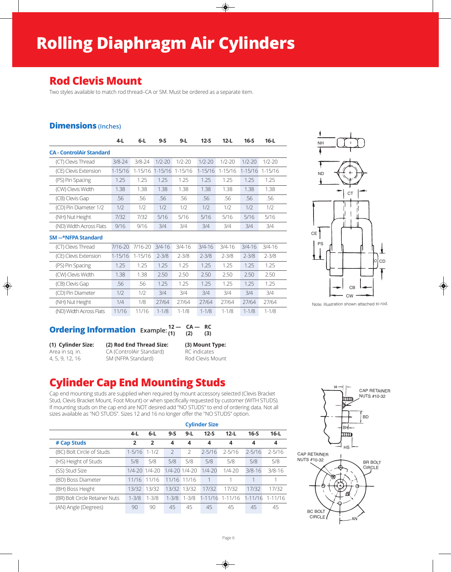# **Rolling Diaphragm Air Cylinders**

### **Rod Clevis Mount**

Two styles available to match rod thread–CA or SM. Must be ordered as a separate item.

### **Dimensions (Inches)**

|                                 | $4-L$       | $6-L$      | $9-S$       | $9-L$      | $12-S$      | $12-L$     | $16-S$      | $16-L$     |
|---------------------------------|-------------|------------|-------------|------------|-------------|------------|-------------|------------|
| <b>CA - ControlAir Standard</b> |             |            |             |            |             |            |             |            |
| (CT) Clevis Thread              | $3/8 - 24$  | $3/8 - 24$ | $1/2 - 20$  | $1/2 - 20$ | $1/2 - 20$  | $1/2 - 20$ | $1/2 - 20$  | $1/2 - 20$ |
| (CE) Clevis Extension           | $1 - 15/16$ | 1-15/16    | $1 - 15/16$ | 1-15/16    | $1 - 15/16$ | 1-15/16    | $1 - 15/16$ | 1-15/16    |
| (PS) Pin Spacing                | 1.25        | 1.25       | 1.25        | 1.25       | 1.25        | 1.25       | 1.25        | 1.25       |
| (CW) Clevis Width               | 1.38        | 1.38       | 1.38        | 1.38       | 1.38        | 1.38       | 1.38        | 1.38       |
| (CB) Clevis Gap                 | .56         | .56        | .56         | .56        | .56         | .56        | .56         | .56        |
| (CD) Pin Diameter 1/2           | 1/2         | 1/2        | 1/2         | 1/2        | 1/2         | 1/2        | 1/2         | 1/2        |
| (NH) Nut Height                 | 7/32        | 7/32       | 5/16        | 5/16       | 5/16        | 5/16       | 5/16        | 5/16       |
| (ND) Width Across Flats         | 9/16        | 9/16       | 3/4         | 3/4        | 3/4         | 3/4        | 3/4         | 3/4        |

#### **SM –-\*NFPA Standard**

| (CT) Clevis Thread      | 7/16-20     | 7/16-20     | $3/4 - 16$ | $3/4 - 16$ | $3/4 - 16$ | 3/4-16    | $3/4 - 16$ | $3/4 - 16$ |  |
|-------------------------|-------------|-------------|------------|------------|------------|-----------|------------|------------|--|
| (CE) Clevis Extension   | $1 - 15/16$ | $1 - 15/16$ | $2 - 3/8$  | $2 - 3/8$  | $2 - 3/8$  | $2 - 3/8$ | $2 - 3/8$  | $2 - 3/8$  |  |
| (PS) Pin Spacing        | 1.25        | 1.25        | 1.25       | 1.25       | 1.25       | 1.25      | 1.25       | 1.25       |  |
| (CW) Clevis Width       | 1.38        | 1.38        | 2.50       | 2.50       | 2.50       | 2.50      | 2.50       | 2.50       |  |
| (CB) Clevis Gap         | .56         | .56         | 1.25       | 1 25       | 1.25       | 1 25      | 1.25       | 1.25       |  |
| (CD) Pin Diameter       | 1/2         | 1/2         | 3/4        | 3/4        | 3/4        | 3/4       | 3/4        | 3/4        |  |
| (NH) Nut Height         | 1/4         | 1/8         | 27/64      | 27/64      | 27/64      | 27/64     | 27/64      | 27/64      |  |
| (ND) Width Across Flats | 11/16       | 11/16       | $1 - 1/8$  | $1 - 1/8$  | $1 - 1/8$  | $1 - 1/8$ | $1 - 1/8$  | $1 - 1/8$  |  |



Note: Illustration shown attached to rod.

#### **Ordering Information** Example:  $\frac{12}{(1)} - \frac{CA - RC}{(2)}$ **(1) (2) (3)**

| (1) Cylinder Size: | (2) Rod End Thread Size: | (3) Mount Type:  |
|--------------------|--------------------------|------------------|
| Area in sq. in.    | CA (ControlAir Standard) | RC indicates     |
| 4, 5, 9, 12, 16    | SM (NFPA Standard)       | Rod Clevis Mount |

## **Cylinder Cap End Mounting Studs**

Cap end mounting studs are supplied when required by mount accessory selected (Clevis Bracket Stud, Clevis Bracket Mount, Foot Mount) or when specifically requested by customer (WITH STUDS). If mounting studs on the cap end are NOT desired add "NO STUDS" to end of ordering data. Not all sizes available as "NO STUDS". Sizes 12 and 16 no longer offer the "NO STUDS" option.

|                                |                |                       |                          |                         | <b>Cylinder Size</b> |             |             |             |
|--------------------------------|----------------|-----------------------|--------------------------|-------------------------|----------------------|-------------|-------------|-------------|
|                                | $4-L$          | $6 - L$               | $9-S$                    | $9 - L$                 | $12-S$               | $12-L$      | $16-S$      | $16-L$      |
| # Cap Studs                    | $\overline{2}$ | $\overline{2}$        | 4                        | $\overline{\mathbf{4}}$ | 4                    | 4           | 4           | 4           |
| (BC) Bolt Circle of Studs      | $1 - 5/16$     | $1 - 1/2$             | $\overline{\phantom{0}}$ | $\mathcal{P}$           | $2 - 5/16$           | $2 - 5/16$  | $2 - 5/16$  | $2 - 5/16$  |
| (HS) Height of Studs           | 5/8            | 5/8                   | 5/8                      | 5/8                     | 5/8                  | 5/8         | 5/8         | 5/8         |
| (SS) Stud Size                 |                | $1/4 - 20$ $1/4 - 20$ | $1/4 - 20$ $1/4 - 20$    |                         | $1/4 - 20$           | $1/4 - 20$  | $3/8 - 16$  | $3/8 - 16$  |
| (BD) Boss Diameter             | 11/16 11/16    |                       | 11/16 11/16              |                         | 1                    |             |             |             |
| (BH) Boss Height               | 13/32          | 13/32                 | 13/32 13/32              |                         | 17/32                | 17/32       | 17/32       | 17/32       |
| (BR) Bolt Circle Retainer Nuts | $1 - 3/8$      | $1 - 3/8$             | $1 - 3/8$                | $1 - 3/8$               | 1-11/16              | $1 - 11/16$ | $1 - 11/16$ | $1 - 11/16$ |
| (AN) Angle (Degrees)           | 90             | 90                    | 45                       | 45                      | 45                   | 45          | 45          | 45          |

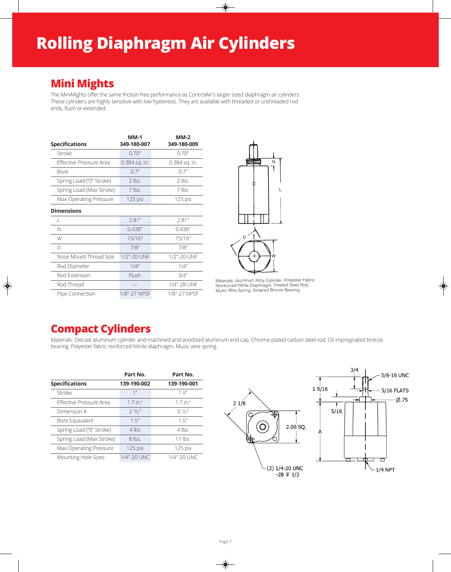## **Mini Mights**

The MiniMights offer the same friction free performance as ControlAir's larger sized diaphragm air cylinders. These cylinders are highly sensitive with low hysteresis. They are available with threaded or unthreaded rod ends, flush or extended.

| <b>Specifications</b>          | $MM-1$<br>349-180-007 | $MM-2$<br>349-180-009 |
|--------------------------------|-----------------------|-----------------------|
| Stroke                         | 0.70"                 | 0.70"                 |
| <b>Effective Pressure Area</b> | 0.384 sq. in.         | 0.384 sq. in.         |
| <b>Bore</b>                    | 0.7"                  | 0.7"                  |
| Spring Load ("0" Stroke)       | $2$ lbs.              | $2$ lbs.              |
| Spring Load (Max Stroke)       | $7$ lbs.              | $7$ lbs.              |
| Max Operating Pressure         | 125 psi               | 125 psi               |
| <b>Dimensions</b>              |                       |                       |
|                                | 2.81"                 | 2.81"                 |
| N                              | 0.438"                | 0.438"                |
| W                              | 15/16"                | 15/16"                |
| $\Box$                         | 7/8"                  | 7/8"                  |
| Nose Mount Thread Size         | 1/2"-20 UNF           | 1/2"-20 UNF           |
| Rod Diameter                   | 1/4"                  | 1/4"                  |
| Rod Extension                  | Flush                 | 3/4"                  |
| Rod Thread                     |                       | 1/4"-28 UNF           |
| Pipe Connection                | 1/8"-27 NPSF          | 1/8"-27 NPSF          |



Materials: Aluminum Alloy Cylinder, Polyester Fabric Reinforced Nitrile Diaphragm, Treated Steel Rod, Music Wire Spring, Sintered Bronze Bearing.

## **Compact Cylinders**

Materials: Diecast aluminum cylinder and machined and anodized aluminum end cap. Chrome plated carbon steel rod. Oil impregnated bronze bearing. Polyester fabric reinforced Nitrile diaphragm. Music wire spring.

|                                | Part No.               | Part No.           |
|--------------------------------|------------------------|--------------------|
| <b>Specifications</b>          | 139-190-002            | 139-190-001        |
| Stroke                         | 1"                     | $1 \frac{3}{4}$ "  |
| <b>Effective Pressure Area</b> | $1.7$ in. <sup>2</sup> | $1.7$ in. $2$      |
| Dimension A                    | $2^{29}$               | $32\frac{1}{2}$    |
| Bore Equivalent                | 15"                    | 15"                |
| Spring Load ("0" Stroke)       | $4$ lbs                | $4$ lbs.           |
| Spring Load (Max Stroke)       | $8$ lbs.               | 11 $\mathsf{bs}$ . |
| Max Operating Pressure         | 125 psi                | 125 psi            |
| Mounting Hole Sizes            | 1/4"-20 UNC            | 1/4"-20 UNC        |